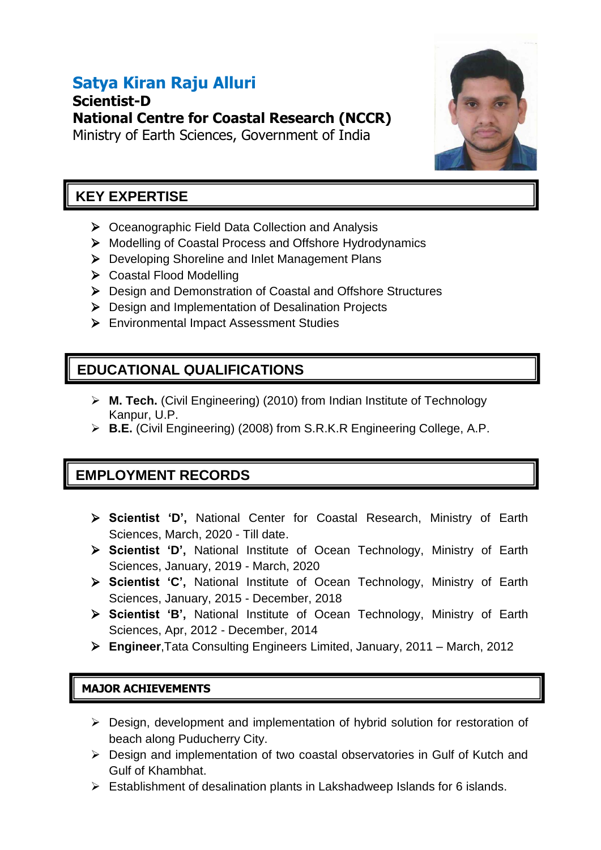# **Satya Kiran Raju Alluri**

**Scientist-D National Centre for Coastal Research (NCCR)** Ministry of Earth Sciences, Government of India



# **KEY EXPERTISE**

- $\triangleright$  Oceanographic Field Data Collection and Analysis
- ▶ Modelling of Coastal Process and Offshore Hydrodynamics
- ▶ Developing Shoreline and Inlet Management Plans
- ▶ Coastal Flood Modelling
- ▶ Design and Demonstration of Coastal and Offshore Structures
- ▶ Design and Implementation of Desalination Projects
- Environmental Impact Assessment Studies

# **EDUCATIONAL QUALIFICATIONS**

- **M. Tech.** (Civil Engineering) (2010) from Indian Institute of Technology Kanpur, U.P.
- **B.E.** (Civil Engineering) (2008) from S.R.K.R Engineering College, A.P.

# **EMPLOYMENT RECORDS**

- **Scientist 'D',** National Center for Coastal Research, Ministry of Earth Sciences, March, 2020 - Till date.
- **Scientist 'D',** National Institute of Ocean Technology, Ministry of Earth Sciences, January, 2019 - March, 2020
- **Scientist 'C',** National Institute of Ocean Technology, Ministry of Earth Sciences, January, 2015 - December, 2018
- **Scientist 'B',** National Institute of Ocean Technology, Ministry of Earth Sciences, Apr, 2012 - December, 2014
- **Engineer**,Tata Consulting Engineers Limited, January, 2011 March, 2012

## **MAJOR ACHIEVEMENTS**

- Design, development and implementation of hybrid solution for restoration of beach along Puducherry City.
- Design and implementation of two coastal observatories in Gulf of Kutch and Gulf of Khambhat.
- $\triangleright$  Establishment of desalination plants in Lakshadweep Islands for 6 islands.